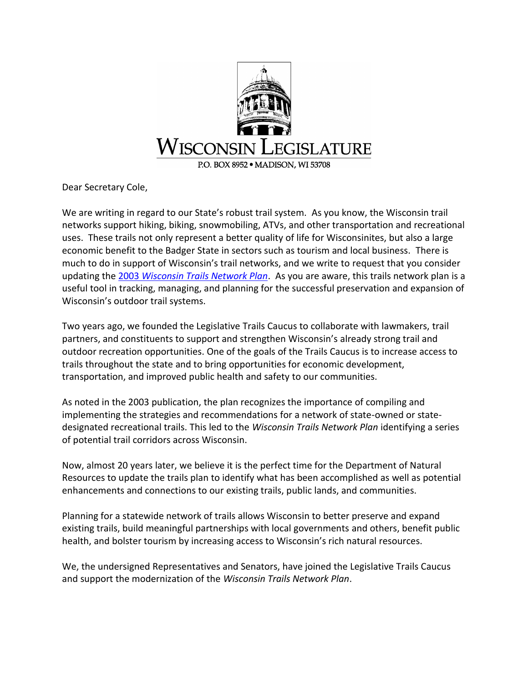

Dear Secretary Cole,

We are writing in regard to our State's robust trail system. As you know, the Wisconsin trail networks support hiking, biking, snowmobiling, ATVs, and other transportation and recreational uses. These trails not only represent a better quality of life for Wisconsinites, but also a large economic benefit to the Badger State in sectors such as tourism and local business. There is much to do in support of Wisconsin's trail networks, and we write to request that you consider updating the 2003 *[Wisconsin Trails Network Plan](https://dnr.wisconsin.gov/sites/default/files/topic/Parks/NetworkPlanPR0313.pdf)*. As you are aware, this trails network plan is a useful tool in tracking, managing, and planning for the successful preservation and expansion of Wisconsin's outdoor trail systems.

Two years ago, we founded the Legislative Trails Caucus to collaborate with lawmakers, trail partners, and constituents to support and strengthen Wisconsin's already strong trail and outdoor recreation opportunities. One of the goals of the Trails Caucus is to increase access to trails throughout the state and to bring opportunities for economic development, transportation, and improved public health and safety to our communities.

As noted in the 2003 publication, the plan recognizes the importance of compiling and implementing the strategies and recommendations for a network of state-owned or statedesignated recreational trails. This led to the *Wisconsin Trails Network Plan* identifying a series of potential trail corridors across Wisconsin.

Now, almost 20 years later, we believe it is the perfect time for the Department of Natural Resources to update the trails plan to identify what has been accomplished as well as potential enhancements and connections to our existing trails, public lands, and communities.

Planning for a statewide network of trails allows Wisconsin to better preserve and expand existing trails, build meaningful partnerships with local governments and others, benefit public health, and bolster tourism by increasing access to Wisconsin's rich natural resources.

We, the undersigned Representatives and Senators, have joined the Legislative Trails Caucus and support the modernization of the *Wisconsin Trails Network Plan*.